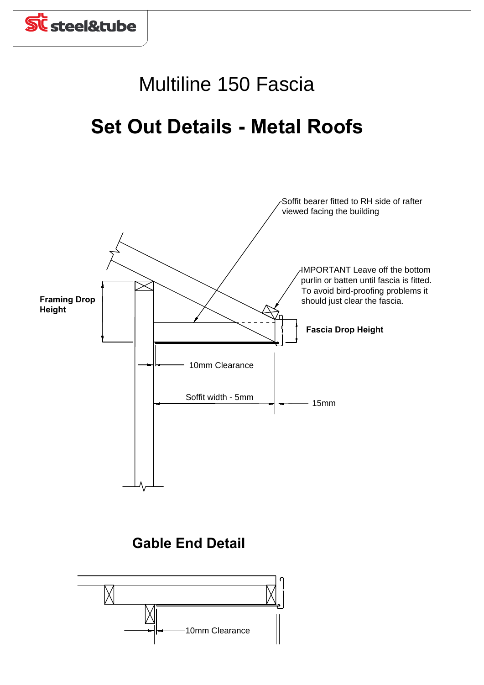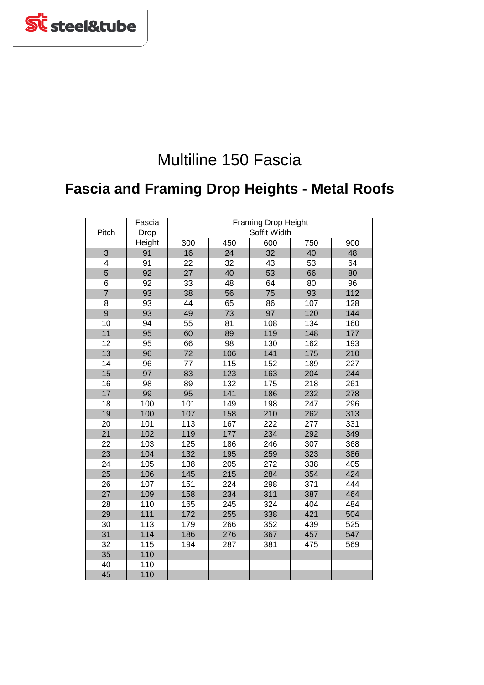

## Multiline 150 Fascia

## **Fascia and Framing Drop Heights - Metal Roofs**

|                 | Fascia | <b>Framing Drop Height</b> |              |                 |     |     |  |
|-----------------|--------|----------------------------|--------------|-----------------|-----|-----|--|
| Pitch           | Drop   |                            | Soffit Width |                 |     |     |  |
|                 | Height | 300                        | 450          | 600             | 750 | 900 |  |
| $\overline{3}$  | 91     | 16                         | 24           | $\overline{32}$ | 40  | 48  |  |
| 4               | 91     | 22                         | 32           | 43              | 53  | 64  |  |
| 5               | 92     | 27                         | 40           | 53              | 66  | 80  |  |
| 6               | 92     | 33                         | 48           | 64              | 80  | 96  |  |
| $\overline{7}$  | 93     | 38                         | 56           | 75              | 93  | 112 |  |
| 8               | 93     | 44                         | 65           | 86              | 107 | 128 |  |
| 9               | 93     | 49                         | 73           | 97              | 120 | 144 |  |
| 10              | 94     | 55                         | 81           | 108             | 134 | 160 |  |
| 11              | 95     | 60                         | 89           | 119             | 148 | 177 |  |
| 12              | 95     | 66                         | 98           | 130             | 162 | 193 |  |
| 13              | 96     | 72                         | 106          | 141             | 175 | 210 |  |
| 14              | 96     | 77                         | 115          | 152             | 189 | 227 |  |
| 15              | 97     | 83                         | 123          | 163             | 204 | 244 |  |
| 16              | 98     | 89                         | 132          | 175             | 218 | 261 |  |
| 17              | 99     | 95                         | 141          | 186             | 232 | 278 |  |
| 18              | 100    | 101                        | 149          | 198             | 247 | 296 |  |
| 19              | 100    | 107                        | 158          | 210             | 262 | 313 |  |
| 20              | 101    | 113                        | 167          | 222             | 277 | 331 |  |
| 21              | 102    | 119                        | 177          | 234             | 292 | 349 |  |
| $\overline{22}$ | 103    | 125                        | 186          | 246             | 307 | 368 |  |
| 23              | 104    | 132                        | 195          | 259             | 323 | 386 |  |
| 24              | 105    | 138                        | 205          | 272             | 338 | 405 |  |
| 25              | 106    | 145                        | 215          | 284             | 354 | 424 |  |
| 26              | 107    | 151                        | 224          | 298             | 371 | 444 |  |
| 27              | 109    | 158                        | 234          | 311             | 387 | 464 |  |
| 28              | 110    | 165                        | 245          | 324             | 404 | 484 |  |
| 29              | 111    | 172                        | 255          | 338             | 421 | 504 |  |
| 30              | 113    | 179                        | 266          | 352             | 439 | 525 |  |
| 31              | 114    | 186                        | 276          | 367             | 457 | 547 |  |
| 32              | 115    | 194                        | 287          | 381             | 475 | 569 |  |
| 35              | 110    |                            |              |                 |     |     |  |
| 40              | 110    |                            |              |                 |     |     |  |
| 45              | 110    |                            |              |                 |     |     |  |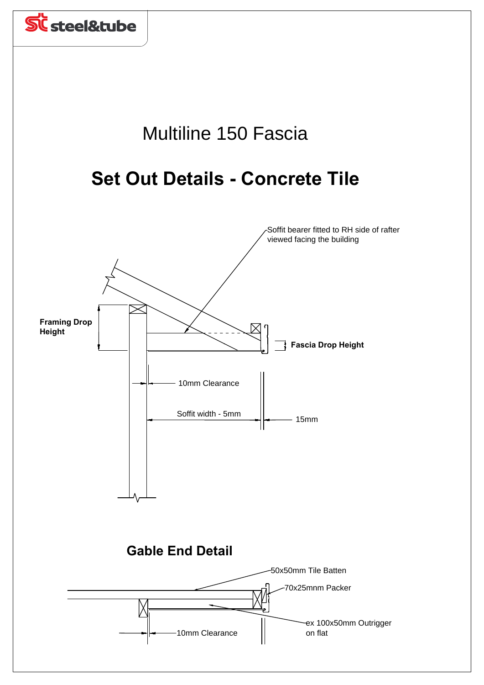